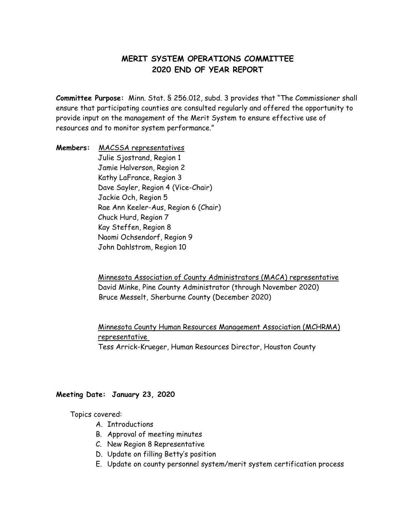# **MERIT SYSTEM OPERATIONS COMMITTEE 2020 END OF YEAR REPORT**

**Committee Purpose:** Minn. Stat. § 256.012, subd. 3 provides that "The Commissioner shall ensure that participating counties are consulted regularly and offered the opportunity to provide input on the management of the Merit System to ensure effective use of resources and to monitor system performance."

**Members:** MACSSA representatives Julie Sjostrand, Region 1 Jamie Halverson, Region 2 Kathy LaFrance, Region 3 Dave Sayler, Region 4 (Vice-Chair) Jackie Och, Region 5 Rae Ann Keeler-Aus, Region 6 (Chair) Chuck Hurd, Region 7 Kay Steffen, Region 8 Naomi Ochsendorf, Region 9 John Dahlstrom, Region 10

> Minnesota Association of County Administrators (MACA) representative David Minke, Pine County Administrator (through November 2020) Bruce Messelt, Sherburne County (December 2020)

> Minnesota County Human Resources Management Association (MCHRMA) representative Tess Arrick-Krueger, Human Resources Director, Houston County

**Meeting Date: January 23, 2020**

Topics covered:

- A. Introductions
- B. Approval of meeting minutes
- C. New Region 8 Representative
- D. Update on filling Betty's position
- E. Update on county personnel system/merit system certification process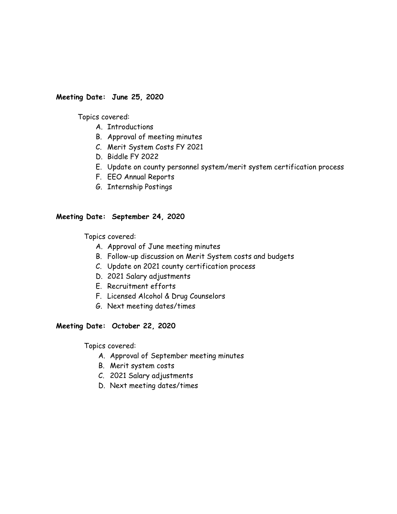## **Meeting Date: June 25, 2020**

Topics covered:

- A. Introductions
- B. Approval of meeting minutes
- C. Merit System Costs FY 2021
- D. Biddle FY 2022
- E. Update on county personnel system/merit system certification process
- F. EEO Annual Reports
- G. Internship Postings

### **Meeting Date: September 24, 2020**

Topics covered:

- A. Approval of June meeting minutes
- B. Follow-up discussion on Merit System costs and budgets
- C. Update on 2021 county certification process
- D. 2021 Salary adjustments
- E. Recruitment efforts
- F. Licensed Alcohol & Drug Counselors
- G. Next meeting dates/times

### **Meeting Date: October 22, 2020**

Topics covered:

- A. Approval of September meeting minutes
- B. Merit system costs
- C. 2021 Salary adjustments
- D. Next meeting dates/times